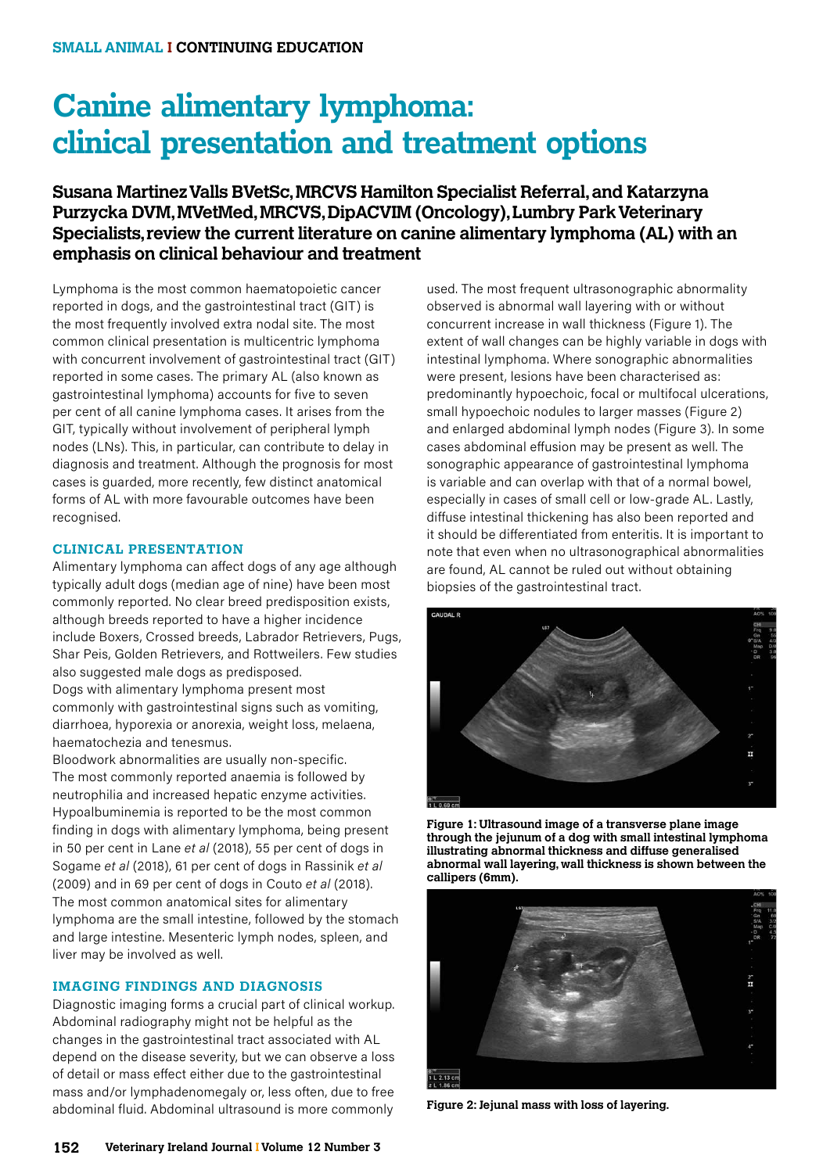# **Canine alimentary lymphoma: clinical presentation and treatment options**

# **Susana Martinez Valls BVetSc, MRCVS Hamilton Specialist Referral, and Katarzyna Purzycka DVM, MVetMed, MRCVS, DipACVIM (Oncology), Lumbry Park Veterinary Specialists, review the current literature on canine alimentary lymphoma (AL) with an emphasis on clinical behaviour and treatment**

Lymphoma is the most common haematopoietic cancer reported in dogs, and the gastrointestinal tract (GIT) is the most frequently involved extra nodal site. The most common clinical presentation is multicentric lymphoma with concurrent involvement of gastrointestinal tract (GIT) reported in some cases. The primary AL (also known as gastrointestinal lymphoma) accounts for five to seven per cent of all canine lymphoma cases. It arises from the GIT, typically without involvement of peripheral lymph nodes (LNs). This, in particular, can contribute to delay in diagnosis and treatment. Although the prognosis for most cases is guarded, more recently, few distinct anatomical forms of AL with more favourable outcomes have been recognised.

# **CLINICAL PRESENTATION**

Alimentary lymphoma can affect dogs of any age although typically adult dogs (median age of nine) have been most commonly reported. No clear breed predisposition exists, although breeds reported to have a higher incidence include Boxers, Crossed breeds, Labrador Retrievers, Pugs, Shar Peis, Golden Retrievers, and Rottweilers. Few studies also suggested male dogs as predisposed. Dogs with alimentary lymphoma present most

commonly with gastrointestinal signs such as vomiting, diarrhoea, hyporexia or anorexia, weight loss, melaena, haematochezia and tenesmus.

Bloodwork abnormalities are usually non-specific. The most commonly reported anaemia is followed by neutrophilia and increased hepatic enzyme activities. Hypoalbuminemia is reported to be the most common finding in dogs with alimentary lymphoma, being present in 50 per cent in Lane *et al* (2018), 55 per cent of dogs in Sogame *et al* (2018), 61 per cent of dogs in Rassinik *et al* (2009) and in 69 per cent of dogs in Couto *et al* (2018). The most common anatomical sites for alimentary lymphoma are the small intestine, followed by the stomach and large intestine. Mesenteric lymph nodes, spleen, and liver may be involved as well.

# **IMAGING FINDINGS AND DIAGNOSIS**

Diagnostic imaging forms a crucial part of clinical workup. Abdominal radiography might not be helpful as the changes in the gastrointestinal tract associated with AL depend on the disease severity, but we can observe a loss of detail or mass effect either due to the gastrointestinal mass and/or lymphadenomegaly or, less often, due to free abdominal fluid. Abdominal ultrasound is more commonly

used. The most frequent ultrasonographic abnormality observed is abnormal wall layering with or without concurrent increase in wall thickness (Figure 1). The extent of wall changes can be highly variable in dogs with intestinal lymphoma. Where sonographic abnormalities were present, lesions have been characterised as: predominantly hypoechoic, focal or multifocal ulcerations, small hypoechoic nodules to larger masses (Figure 2) and enlarged abdominal lymph nodes (Figure 3). In some cases abdominal effusion may be present as well. The sonographic appearance of gastrointestinal lymphoma is variable and can overlap with that of a normal bowel, especially in cases of small cell or low-grade AL. Lastly, diffuse intestinal thickening has also been reported and it should be differentiated from enteritis. It is important to note that even when no ultrasonographical abnormalities are found, AL cannot be ruled out without obtaining biopsies of the gastrointestinal tract.



**Figure 1: Ultrasound image of a transverse plane image through the jejunum of a dog with small intestinal lymphoma illustrating abnormal thickness and diffuse generalised abnormal wall layering, wall thickness is shown between the callipers (6mm).**



**Figure 2: Jejunal mass with loss of layering.**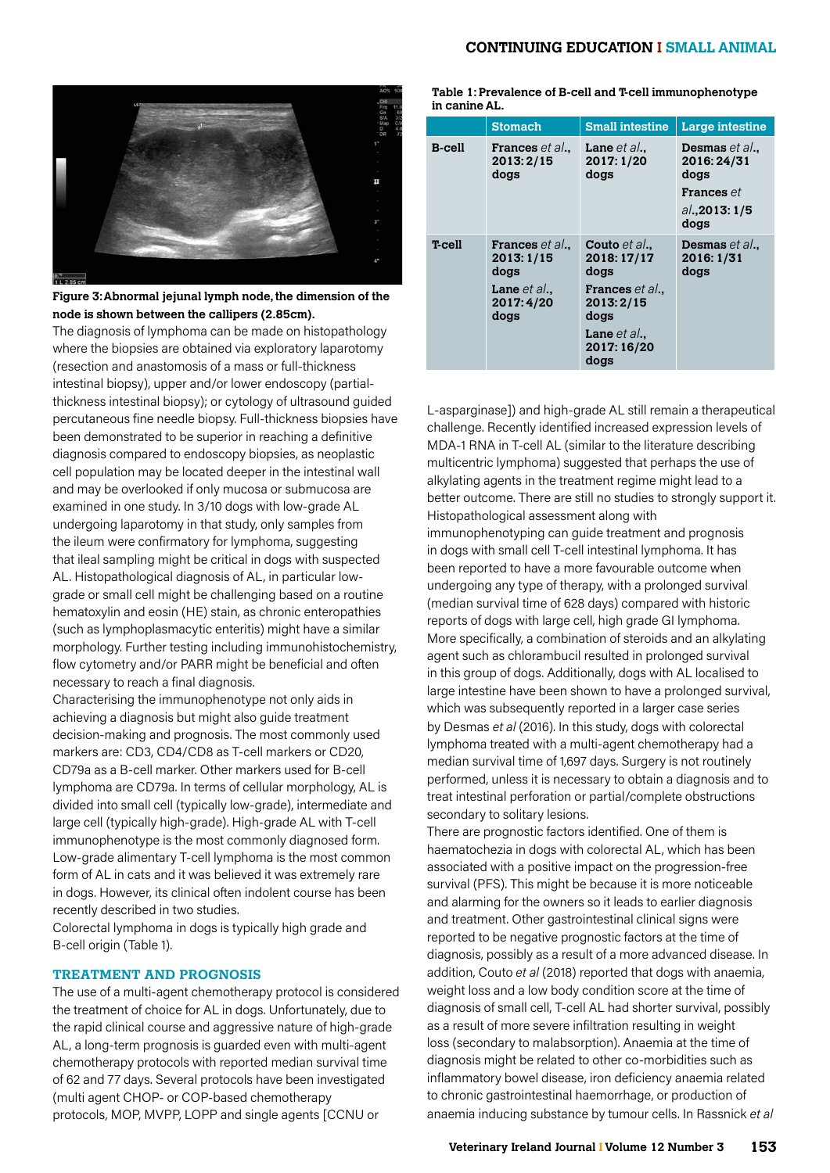## **CONTINUING EDUCATION I SMALL ANIMAL**



**Figure 3: Abnormal jejunal lymph node, the dimension of the node is shown between the callipers (2.85cm).**

The diagnosis of lymphoma can be made on histopathology where the biopsies are obtained via exploratory laparotomy (resection and anastomosis of a mass or full-thickness intestinal biopsy), upper and/or lower endoscopy (partialthickness intestinal biopsy); or cytology of ultrasound guided percutaneous fine needle biopsy. Full-thickness biopsies have been demonstrated to be superior in reaching a definitive diagnosis compared to endoscopy biopsies, as neoplastic cell population may be located deeper in the intestinal wall and may be overlooked if only mucosa or submucosa are examined in one study. In 3/10 dogs with low-grade AL undergoing laparotomy in that study, only samples from the ileum were confirmatory for lymphoma, suggesting that ileal sampling might be critical in dogs with suspected AL. Histopathological diagnosis of AL, in particular lowgrade or small cell might be challenging based on a routine hematoxylin and eosin (HE) stain, as chronic enteropathies (such as lymphoplasmacytic enteritis) might have a similar morphology. Further testing including immunohistochemistry, flow cytometry and/or PARR might be beneficial and often necessary to reach a final diagnosis.

Characterising the immunophenotype not only aids in achieving a diagnosis but might also guide treatment decision-making and prognosis. The most commonly used markers are: CD3, CD4/CD8 as T-cell markers or CD20, CD79a as a B-cell marker. Other markers used for B-cell lymphoma are CD79a. In terms of cellular morphology, AL is divided into small cell (typically low-grade), intermediate and large cell (typically high-grade). High-grade AL with T-cell immunophenotype is the most commonly diagnosed form. Low-grade alimentary T-cell lymphoma is the most common form of AL in cats and it was believed it was extremely rare in dogs. However, its clinical often indolent course has been recently described in two studies.

Colorectal lymphoma in dogs is typically high grade and B-cell origin (Table 1).

# **TREATMENT AND PROGNOSIS**

The use of a multi-agent chemotherapy protocol is considered the treatment of choice for AL in dogs. Unfortunately, due to the rapid clinical course and aggressive nature of high-grade AL, a long-term prognosis is guarded even with multi-agent chemotherapy protocols with reported median survival time of 62 and 77 days. Several protocols have been investigated (multi agent CHOP- or COP-based chemotherapy protocols, MOP, MVPP, LOPP and single agents [CCNU or

**Table 1: Prevalence of B-cell and T-cell immunophenotype in canine AL.**

|               | <b>Stomach</b>                                                                      | <b>Small intestine</b>                                                                                        | Large intestine                                                                          |
|---------------|-------------------------------------------------------------------------------------|---------------------------------------------------------------------------------------------------------------|------------------------------------------------------------------------------------------|
| <b>B-cell</b> | <b>Frances</b> et al<br>2013:2/15<br>dogs                                           | <b>Lane</b> $et al.$<br>2017: 1/20<br>dogs                                                                    | <b>Desmas</b> et al<br>2016:24/31<br>dogs<br><b>Frances</b> et<br>al., 2013: 1/5<br>dogs |
| T-cell        | <b>Frances</b> et al.,<br>2013: 1/15<br>dogs<br>Lane $et al.,$<br>2017:4/20<br>dogs | Couto et al.,<br>2018: 17/17<br>doas<br>Frances et al.,<br>2013:2/15<br>dogs<br>Lane $et al.,$<br>2017: 16/20 | Desmas et al.,<br>2016: 1/31<br>dogs                                                     |

L-asparginase]) and high-grade AL still remain a therapeutical challenge. Recently identified increased expression levels of MDA-1 RNA in T-cell AL (similar to the literature describing multicentric lymphoma) suggested that perhaps the use of alkylating agents in the treatment regime might lead to a better outcome. There are still no studies to strongly support it. Histopathological assessment along with immunophenotyping can guide treatment and prognosis in dogs with small cell T-cell intestinal lymphoma. It has been reported to have a more favourable outcome when undergoing any type of therapy, with a prolonged survival (median survival time of 628 days) compared with historic reports of dogs with large cell, high grade GI lymphoma. More specifically, a combination of steroids and an alkylating agent such as chlorambucil resulted in prolonged survival in this group of dogs. Additionally, dogs with AL localised to large intestine have been shown to have a prolonged survival, which was subsequently reported in a larger case series by Desmas *et al* (2016). In this study, dogs with colorectal lymphoma treated with a multi-agent chemotherapy had a median survival time of 1,697 days. Surgery is not routinely performed, unless it is necessary to obtain a diagnosis and to treat intestinal perforation or partial/complete obstructions

There are prognostic factors identified. One of them is haematochezia in dogs with colorectal AL, which has been associated with a positive impact on the progression-free survival (PFS). This might be because it is more noticeable and alarming for the owners so it leads to earlier diagnosis and treatment. Other gastrointestinal clinical signs were reported to be negative prognostic factors at the time of diagnosis, possibly as a result of a more advanced disease. In addition, Couto *et al* (2018) reported that dogs with anaemia, weight loss and a low body condition score at the time of diagnosis of small cell, T-cell AL had shorter survival, possibly as a result of more severe infiltration resulting in weight loss (secondary to malabsorption). Anaemia at the time of diagnosis might be related to other co-morbidities such as inflammatory bowel disease, iron deficiency anaemia related to chronic gastrointestinal haemorrhage, or production of anaemia inducing substance by tumour cells. In Rassnick *et al*

secondary to solitary lesions.